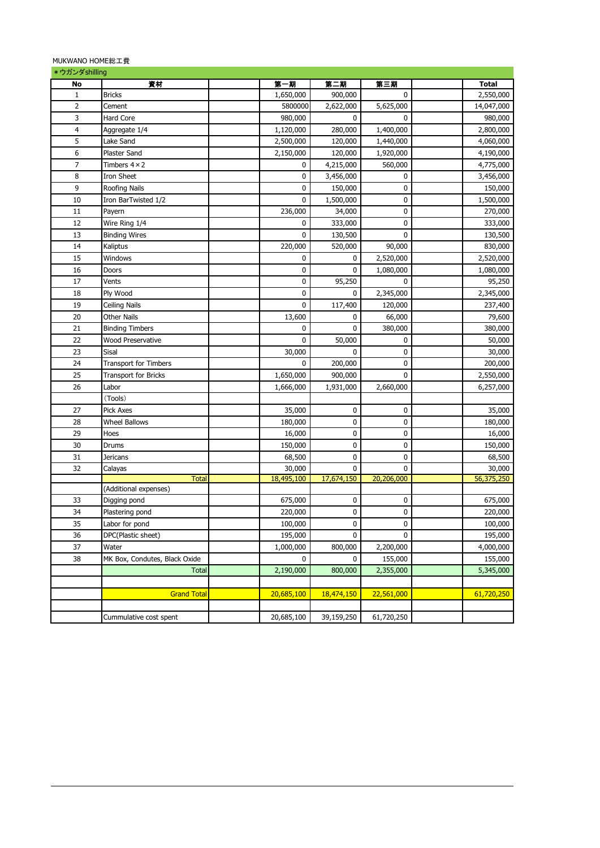## MUKWANO HOME総工費

| *ウガンダshilling  |                               |                  |                        |            |              |
|----------------|-------------------------------|------------------|------------------------|------------|--------------|
| No             | 資材                            | 第一期              | 第二期                    | 第三期        | <b>Total</b> |
| $\mathbf{1}$   | <b>Bricks</b>                 | 1,650,000        | 900,000                | 0          | 2,550,000    |
| $\overline{2}$ | Cement                        | 5800000          | 2,622,000              | 5,625,000  | 14,047,000   |
| 3              | Hard Core                     | 980,000          | $\mathbf 0$            | 0          | 980,000      |
| 4              | Aggregate 1/4                 | 1,120,000        | 280,000                | 1,400,000  | 2,800,000    |
| 5              | Lake Sand                     | 2,500,000        | 120,000                | 1,440,000  | 4,060,000    |
| 6              | Plaster Sand                  | 2,150,000        | 120,000                | 1,920,000  | 4,190,000    |
| $\overline{7}$ | Timbers $4 \times 2$          | 0                | 4,215,000              | 560,000    | 4,775,000    |
| 8              | Iron Sheet                    | 0                | 3,456,000              | 0          | 3,456,000    |
| 9              | Roofing Nails                 | 0                | 150,000                | 0          | 150,000      |
| 10             | Iron BarTwisted 1/2           | 0                | 1,500,000              | 0          | 1,500,000    |
| 11             | Payern                        | 236,000          | 34,000                 | 0          | 270,000      |
| 12             | Wire Ring 1/4                 | 0                | 333,000                | 0          | 333,000      |
| 13             | <b>Binding Wires</b>          | 0                | 130,500                | 0          | 130,500      |
| 14             | Kaliptus                      | 220,000          | 520,000                | 90,000     | 830,000      |
| 15             | Windows                       | 0                | 0                      | 2,520,000  | 2,520,000    |
| 16             | Doors                         | 0                | 0                      | 1,080,000  | 1,080,000    |
| 17             | Vents                         | 0                | 95,250                 | 0          | 95,250       |
| 18             | Ply Wood                      | $\mathbf 0$      | 0                      | 2,345,000  | 2,345,000    |
| 19             | Ceiling Nails                 | $\mathbf 0$      | 117,400                | 120,000    | 237,400      |
| 20             |                               |                  | 0                      | 66,000     | 79,600       |
|                | Other Nails                   | 13,600           | 0                      |            |              |
| 21<br>22       | <b>Binding Timbers</b>        | 0<br>$\mathbf 0$ |                        | 380,000    | 380,000      |
|                | Wood Preservative             |                  | 50,000<br>$\mathbf{0}$ | 0          | 50,000       |
| 23             | Sisal                         | 30,000           |                        | 0          | 30,000       |
| 24             | <b>Transport for Timbers</b>  | 0                | 200,000                | 0          | 200,000      |
| 25             | <b>Transport for Bricks</b>   | 1,650,000        | 900,000                | 0          | 2,550,000    |
| 26             | Labor                         | 1,666,000        | 1,931,000              | 2,660,000  | 6,257,000    |
|                | (Tools)                       |                  |                        |            |              |
| 27             | <b>Pick Axes</b>              | 35,000           | 0                      | 0          | 35,000       |
| 28             | Wheel Ballows                 | 180,000          | 0                      | 0          | 180,000      |
| 29             | Hoes                          | 16,000           | $\pmb{0}$              | 0          | 16,000       |
| 30             | Drums                         | 150,000          | $\pmb{0}$              | 0          | 150,000      |
| 31             | Jericans                      | 68,500           | 0                      | 0          | 68,500       |
| 32             | Calayas                       | 30,000           | 0                      | 0          | 30,000       |
|                | Total                         | 18,495,100       | 17,674,150             | 20,206,000 | 56,375,250   |
|                | (Additional expenses)         |                  |                        |            |              |
| 33             | Digging pond                  | 675,000          | 0                      | 0          | 675,000      |
| 34             | Plastering pond               | 220,000          | 0                      | 0          | 220,000      |
| 35             | Labor for pond                | 100,000          | 0                      | 0          | 100,000      |
| 36             | DPC(Plastic sheet)            | 195,000          | 0                      | 0          | 195,000      |
| 37             | Water                         | 1,000,000        | 800,000                | 2,200,000  | 4,000,000    |
| 38             | MK Box, Condutes, Black Oxide | $\mathbf 0$      | 0                      | 155,000    | 155,000      |
|                | <b>Total</b>                  | 2,190,000        | 800,000                | 2,355,000  | 5,345,000    |
|                |                               |                  |                        |            |              |
|                | <b>Grand Total</b>            | 20,685,100       | 18,474,150             | 22,561,000 | 61,720,250   |
|                |                               |                  |                        |            |              |
|                | Cummulative cost spent        | 20,685,100       | 39,159,250             | 61,720,250 |              |